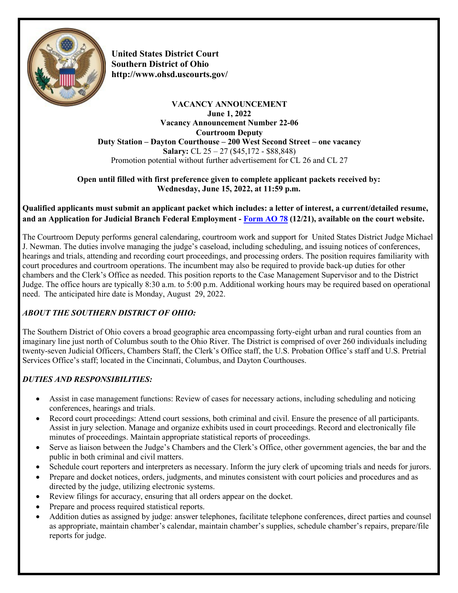

**United States District Court Southern District of Ohi[o](http://www.ohsd.uscourts.gov/) <http://www.ohsd.uscourts.gov/>**

#### **VACANCY ANNOUNCEMENT June 1, 2022 Vacancy Announcement Number 22-06 Courtroom Deputy Duty Station – Dayton Courthouse – 200 West Second Street – one vacancy Salary:** CL 25 – 27 (\$45,172 - \$88,848) Promotion potential without further advertisement for CL 26 and CL 27

### **Open until filled with first preference given to complete applicant packets received by: Wednesday, June 15, 2022, at 11:59 p.m.**

## **Qualified applicants must submit an applicant packet which includes: a letter of interest, a current/detailed resume, and an Application for Judicial Branch Federal Employment - [Form AO 78](https://www.ohsd.uscourts.gov/career-opportunities) (12/21), available on the court website.**

The Courtroom Deputy performs general calendaring, courtroom work and support for United States District Judge Michael J. Newman. The duties involve managing the judge's caseload, including scheduling, and issuing notices of conferences, hearings and trials, attending and recording court proceedings, and processing orders. The position requires familiarity with court procedures and courtroom operations. The incumbent may also be required to provide back-up duties for other chambers and the Clerk's Office as needed. This position reports to the Case Management Supervisor and to the District Judge. The office hours are typically 8:30 a.m. to 5:00 p.m. Additional working hours may be required based on operational need. The anticipated hire date is Monday, August 29, 2022.

# *ABOUT THE SOUTHERN DISTRICT OF OHIO:*

The Southern District of Ohio covers a broad geographic area encompassing forty-eight urban and rural counties from an imaginary line just north of Columbus south to the Ohio River. The District is comprised of over 260 individuals including twenty-seven Judicial Officers, Chambers Staff, the Clerk's Office staff, the U.S. Probation Office's staff and U.S. Pretrial Services Office's staff; located in the Cincinnati, Columbus, and Dayton Courthouses.

# *DUTIES AND RESPONSIBILITIES:*

- Assist in case management functions: Review of cases for necessary actions, including scheduling and noticing conferences, hearings and trials.
- Record court proceedings: Attend court sessions, both criminal and civil. Ensure the presence of all participants. Assist in jury selection. Manage and organize exhibits used in court proceedings. Record and electronically file minutes of proceedings. Maintain appropriate statistical reports of proceedings.
- Serve as liaison between the Judge's Chambers and the Clerk's Office, other government agencies, the bar and the public in both criminal and civil matters.
- Schedule court reporters and interpreters as necessary. Inform the jury clerk of upcoming trials and needs for jurors.
- Prepare and docket notices, orders, judgments, and minutes consistent with court policies and procedures and as directed by the judge, utilizing electronic systems.
- Review filings for accuracy, ensuring that all orders appear on the docket.
- Prepare and process required statistical reports.
- Addition duties as assigned by judge: answer telephones, facilitate telephone conferences, direct parties and counsel as appropriate, maintain chamber's calendar, maintain chamber's supplies, schedule chamber's repairs, prepare/file reports for judge.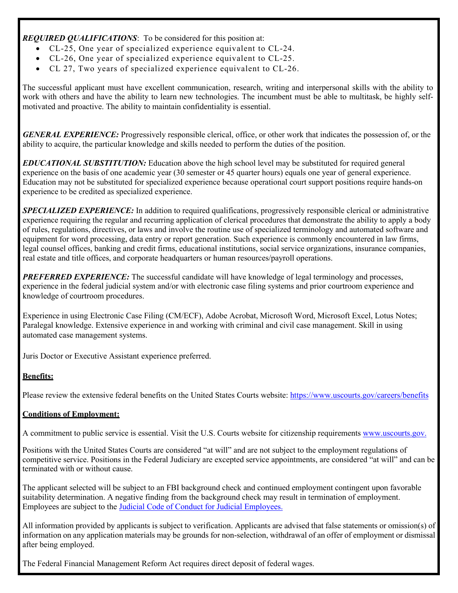*REQUIRED QUALIFICATIONS*: To be considered for this position at:

- CL-25, One year of specialized experience equivalent to CL-24.
- CL-26, One year of specialized experience equivalent to CL-25.
- CL 27, Two years of specialized experience equivalent to CL-26.

The successful applicant must have excellent communication, research, writing and interpersonal skills with the ability to work with others and have the ability to learn new technologies. The incumbent must be able to multitask, be highly selfmotivated and proactive. The ability to maintain confidentiality is essential.

*GENERAL EXPERIENCE:* Progressively responsible clerical, office, or other work that indicates the possession of, or the ability to acquire, the particular knowledge and skills needed to perform the duties of the position.

*EDUCATIONAL SUBSTITUTION:* Education above the high school level may be substituted for required general experience on the basis of one academic year (30 semester or 45 quarter hours) equals one year of general experience. Education may not be substituted for specialized experience because operational court support positions require hands-on experience to be credited as specialized experience.

*SPECIALIZED EXPERIENCE:* In addition to required qualifications, progressively responsible clerical or administrative experience requiring the regular and recurring application of clerical procedures that demonstrate the ability to apply a body of rules, regulations, directives, or laws and involve the routine use of specialized terminology and automated software and equipment for word processing, data entry or report generation. Such experience is commonly encountered in law firms, legal counsel offices, banking and credit firms, educational institutions, social service organizations, insurance companies, real estate and title offices, and corporate headquarters or human resources/payroll operations.

*PREFERRED EXPERIENCE:* The successful candidate will have knowledge of legal terminology and processes, experience in the federal judicial system and/or with electronic case filing systems and prior courtroom experience and knowledge of courtroom procedures.

Experience in using Electronic Case Filing (CM/ECF), Adobe Acrobat, Microsoft Word, Microsoft Excel, Lotus Notes; Paralegal knowledge. Extensive experience in and working with criminal and civil case management. Skill in using automated case management systems.

Juris Doctor or Executive Assistant experience preferred.

### **Benefits:**

Please review the extensive federal benefits on the United States Courts website:<https://www.uscourts.gov/careers/benefits>

#### **Conditions of Employment:**

A commitment to public service is essential. Visit the U.S. Courts website for citizenship requirements [www.uscourts.gov.](https://www.uscourts.gov/careers/search-judiciary-jobs/citizenship-requirements-employment-judiciary)

Positions with the United States Courts are considered "at will" and are not subject to the employment regulations of competitive service. Positions in the Federal Judiciary are excepted service appointments, are considered "at will" and can be terminated with or without cause.

The applicant selected will be subject to an FBI background check and continued employment contingent upon favorable suitability determination. A negative finding from the background check may result in termination of employment. Employees are subject to the [Judicial Code of Conduct for Judicial Employees.](https://www.uscourts.gov/rules-policies/judiciary-policies/code-conduct/code-conduct-judicial-employees)

All information provided by applicants is subject to verification. Applicants are advised that false statements or omission(s) of information on any application materials may be grounds for non-selection, withdrawal of an offer of employment or dismissal after being employed.

The Federal Financial Management Reform Act requires direct deposit of federal wages.